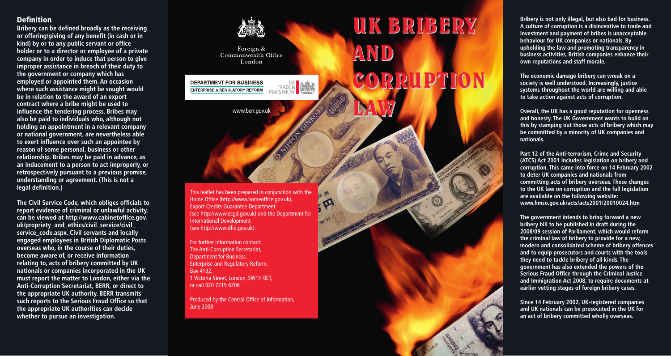# Definition Definition

**Bribery can be defined broadly as the receiving Bribery can be defined broadly as the receiving or offering/giving of any benefit (in cash or in or offering/giving of any benefit (in cash or in kind) by or to any public servant or office kind) by or to any public servant or office holder or to a director or employee of a private holder or to a director or employee of a private company in order to induce that person to give improper assistance in breach of their duty to improper assistance in breach of their duty to the government or company which has employed or appointed them. An occasion employed or appointed them. An occasion where such assistance might be sought would where such assistance might be sought would be in relation to the award of an export be in relation to the award of an export contract where a bribe might be used to contract where a bribe might be used to influence the tendering process. Bribes may influence the tendering process. Bribes may also be paid to individuals who, although not also be paid to individuals who, although not holding an appointment in a relevant company**  or national government, are nevertheless able to exert influence over such an appointee by reason of some personal, business or other  $\overline{\phantom{a}}$ relationship. Bribes may be paid in advance, as an inducement to a person to act improperly, or retrospectively pursuant to a previous promise, **retrospectively pursuant to a previous promise, understanding or agreement. (This is not a legal definition.) company in order to induce that person to give the government or company which has** 

**The Civil Service Code, which obliges officials to report evidence of criminal or unlawful activity, report evidence of criminal or unlawful activity, can be viewed at http://www.cabinetoffice.gov. can be viewed at www.civilservice.gov.uk/ uk/propriety\_and\_ethics/civil\_service/civil\_ publications/pdf/cs\_code.pdf. Civil servants and service\_code.aspx. Civil servants and locally locally engaged employees in British Diplomatic engaged employees in British Diplomatic Posts Posts overseas who, in the course of their overseas who, in the course of their duties, duties, become aware of, or receive information relating to, acts of bribery committed by UK nationals or companies incorporated in the UK nationals or companies incorporated in the UK must report the matter to London, either via the must report the matter to London, either via Anti-Corruption Secretariat, BERR, or direct to the FCO Business Team or direct to the the appropriate UK authority. BERR transmits appropriate UK authority. The FCO transmits such reports to the Serious Fraud Office so that such reports to the Serious Fraud Office so that the appropriate UK authorities can decide the appropriate UK authorities can decide whether to pursue an investigation. whether to pursue an investigation. The Civil Service Code, which obliges officials to become aware of, or receive information relating to, acts of bribery committed by UK** 

Foreign & Commonwealth Office London **DEPARTMENT FOR BUSINESS** TRADE& **ENTERPRISE & REGULATORY REFORM** www.berr.gov.uk

The impartment conditions of the pre-Home Office http://www.homeoffice.gov.uk), (see http://www.dfid.gov.uk). This leaflet has been prepared in conjunction with the Home Office (http://www.homeoffice.gov.uk), Export Credits Guarantee Department (see http://www.ecgd.gov.uk) and the Department for

For further information contact: The Department for the Department for the Department for the Department for the Department for the Department for the Department for the Department for the Department for the Department of The Anti-Corruption Secretariat, Department for Business, For further information contact: Bay 4132, 1 Victoria Street, London, SW1H 0ET, or call 020 7215 6206  $\sim$ Enterprise and Regulatory Reform,

 $\alpha$  call  $\alpha$   $\alpha$   $\alpha$   $\alpha$ Produced by FCO Services: Creative Design Produced by the Central Office of Information, June 2008

May 2006

# CORRUPTION CORRUPTION CORRUPTION ANDCORRUPTION **Bribery is not only illegal, but also bad for Bribery is not only illegal, but also bad for business. business. A culture of corruption is a A culture of corruption is a disincentive to trade and disincentive to trade and investment and behaviour for UK companies or nationals. By payment of bribes is unacceptable behaviour upholding the law and promoting transparency in for UK companies or nationals. By upholding business activities, British companies enhance their own reputations and staff morale. investment and payment of bribes is unacceptable**

UK BRIBERY

AND AND

LAW

条  $\sigma$ 

LAW LAW

**The economic damage bribery can wreak on a The economic damage bribery can wreak on a systems throughout the world are willing and able society is well understood. Increasingly, justice to take action against acts of corruption. society is well understood. Increasingly, justice** 

**Overall, the UK has a good reputation for openness able to take action against acts of corruption. and honesty. The UK Government wants to build on**  be committed by a minority of UK companies and **openness and honesty. The UK Government nationals. this by stamping out those acts of bribery which may** 

Part 12 of the Anti-terrorism, Crime and Security **minority of UK companies and nationals. (ATCS) Act 2001 includes legislation on bribery and Part 12 of the Anti-terrorism, Crime and committing acts of bribery overseas. These changes Security (ATCS) Act 2001 includes legislation on to the UK law on corruption and the full legislation bribery and corruption. This came into force on are available on the following website: 14 February 2002 to deter UK companies and www.hmso.gov.uk/acts/acts2001/20010024.htm corruption. This came into force on 14 February 2002 to deter UK companies and nationals from** 

**overseas. These changes to the UK law on The government intends to bring forward a new corruption and the full legislation are available bribery bill to be published in draft during the on the following website: 2008/09 session of Parliament, which would reform www.hmso.gov.uk/acts/acts2001/20010024.htm the criminal law of bribery to provide for a new, Since 14 February 2002, UK-registered they need to tackle bribery of all kinds. The**  government has also extended the powers of the Serious Fraud Office through the Criminal Justice **wholly overseas. and Immigration Act 2008, to require documents at modern and consolidated scheme of bribery offences and to equip prosecutors and courts with the tools earlier vetting stages of foreign bribery cases.**

**Since 14 February 2002, UK-registered companies and UK nationals can be prosecuted in the UK for an act of bribery committed wholly overseas.**